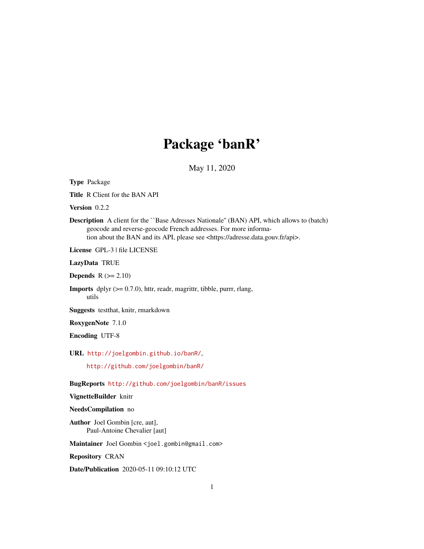## Package 'banR'

May 11, 2020

| <b>Type Package</b>                                                                                                                                                                                                                                                 |
|---------------------------------------------------------------------------------------------------------------------------------------------------------------------------------------------------------------------------------------------------------------------|
| <b>Title R Client for the BAN API</b>                                                                                                                                                                                                                               |
| Version 0.2.2                                                                                                                                                                                                                                                       |
| <b>Description</b> A client for the "Base Adresses Nationale" (BAN) API, which allows to (batch)<br>geocode and reverse-geocode French addresses. For more informa-<br>tion about the BAN and its API, please see <https: adresse.data.gouv.fr="" api="">.</https:> |
| License GPL-3   file LICENSE                                                                                                                                                                                                                                        |
| LazyData TRUE                                                                                                                                                                                                                                                       |
| <b>Depends</b> $R (= 2.10)$                                                                                                                                                                                                                                         |
| <b>Imports</b> dplyr $(>= 0.7.0)$ , httr, readr, magnittr, tibble, purrr, rlang,<br>utils                                                                                                                                                                           |
| Suggests testthat, knitr, rmarkdown                                                                                                                                                                                                                                 |
| RoxygenNote 7.1.0                                                                                                                                                                                                                                                   |
| <b>Encoding UTF-8</b>                                                                                                                                                                                                                                               |
| URL http://joelgombin.github.io/banR/,                                                                                                                                                                                                                              |
| http://github.com/joelgombin/banR/                                                                                                                                                                                                                                  |
| BugReports http://github.com/joelgombin/banR/issues                                                                                                                                                                                                                 |
| VignetteBuilder knitr                                                                                                                                                                                                                                               |
| NeedsCompilation no                                                                                                                                                                                                                                                 |
| <b>Author</b> Joel Gombin [cre, aut],<br>Paul-Antoine Chevalier [aut]                                                                                                                                                                                               |
| Maintainer Joel Gombin < joel.gombin@gmail.com>                                                                                                                                                                                                                     |
| <b>Repository CRAN</b>                                                                                                                                                                                                                                              |

Date/Publication 2020-05-11 09:10:12 UTC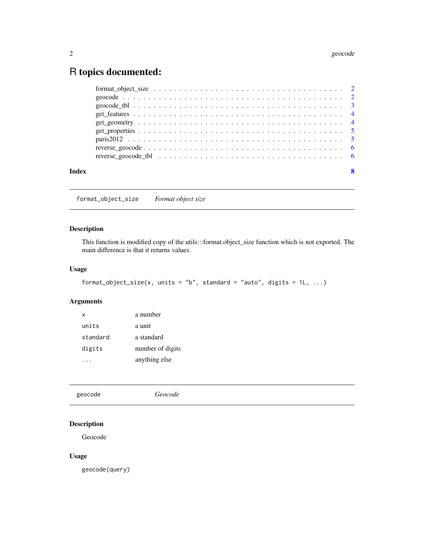### <span id="page-1-0"></span>R topics documented:

| Index | 8 |
|-------|---|
|       |   |

format\_object\_size *Format object size*

#### Description

This function is modified copy of the utils:::format.object\_size function which is not exported. The main difference is that it returns values.

#### Usage

```
format_object_size(x, units = "b", standard = "auto", digits = 1L, ...)
```
#### Arguments

| x        | a number         |
|----------|------------------|
| units    | a unit           |
| standard | a standard       |
| digits   | number of digits |
|          | anything else    |

|  | geocode | Geocode |  |  |
|--|---------|---------|--|--|
|--|---------|---------|--|--|

#### Description

Geocode

#### Usage

geocode(query)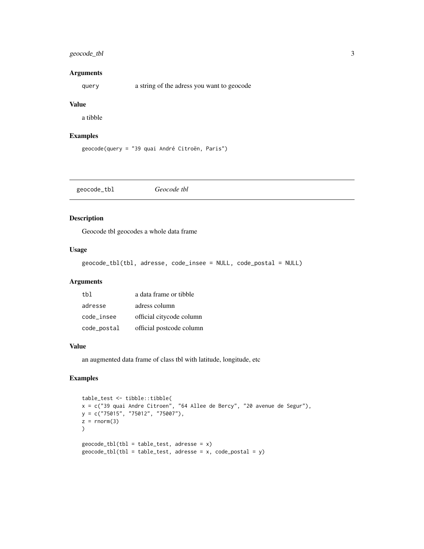#### <span id="page-2-0"></span>geocode\_tbl 3

#### Arguments

query a string of the adress you want to geocode

#### Value

a tibble

#### Examples

geocode(query = "39 quai André Citroën, Paris")

geocode\_tbl *Geocode tbl*

#### Description

Geocode tbl geocodes a whole data frame

#### Usage

geocode\_tbl(tbl, adresse, code\_insee = NULL, code\_postal = NULL)

#### Arguments

| t.h1        | a data frame or tibble   |
|-------------|--------------------------|
| adresse     | adress column            |
| code insee  | official citycode column |
| code_postal | official postcode column |

#### Value

an augmented data frame of class tbl with latitude, longitude, etc

#### Examples

```
table_test <- tibble::tibble(
x = c("39 quai Andre Citroen", "64 Allee de Bercy", "20 avenue de Segur"),
y = c("75015", "75012", "75007"),z = rnorm(3)\lambdageocode_tbl(tbl = table_test, adresse = x)geocode_tbl(tbl = table_test, adresse = x, code_postal = y)
```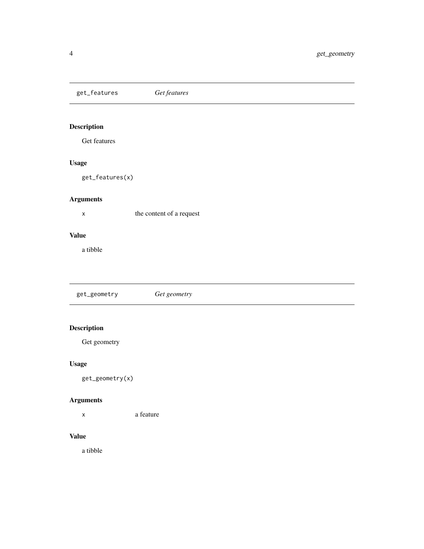<span id="page-3-0"></span>get\_features *Get features*

### Description

Get features

#### Usage

get\_features(x)

#### Arguments

x the content of a request

#### Value

a tibble

get\_geometry *Get geometry*

#### Description

Get geometry

### Usage

get\_geometry(x)

#### Arguments

x a feature

#### Value

a tibble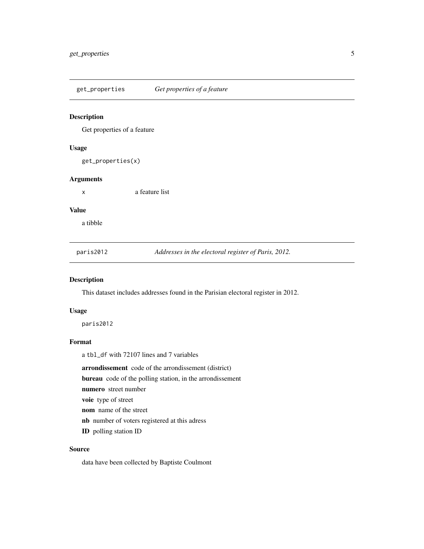<span id="page-4-0"></span>get\_properties *Get properties of a feature*

#### Description

Get properties of a feature

#### Usage

get\_properties(x)

#### Arguments

x a feature list

#### Value

a tibble

paris2012 *Addresses in the electoral register of Paris, 2012.*

#### Description

This dataset includes addresses found in the Parisian electoral register in 2012.

#### Usage

paris2012

#### Format

a tbl\_df with 72107 lines and 7 variables

arrondissement code of the arrondissement (district)

bureau code of the polling station, in the arrondissement

numero street number

voie type of street

nom name of the street

nb number of voters registered at this adress

ID polling station ID

#### Source

data have been collected by Baptiste Coulmont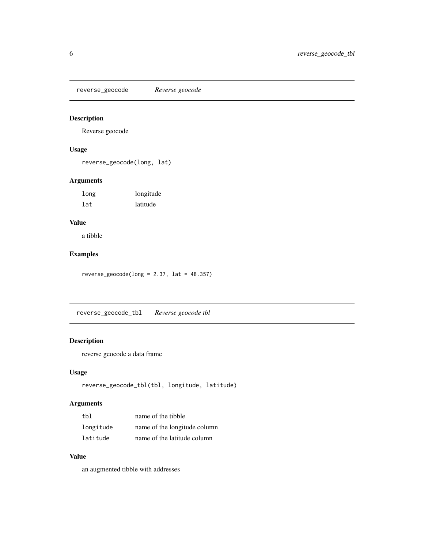<span id="page-5-0"></span>reverse\_geocode *Reverse geocode*

#### Description

Reverse geocode

#### Usage

reverse\_geocode(long, lat)

#### Arguments

| long | longitude |
|------|-----------|
| lat  | latitude  |

#### Value

a tibble

#### Examples

 $reverse\_geocode(long = 2.37, lat = 48.357)$ 

reverse\_geocode\_tbl *Reverse geocode tbl*

#### Description

reverse geocode a data frame

#### Usage

```
reverse_geocode_tbl(tbl, longitude, latitude)
```
#### Arguments

| thl       | name of the tibble           |
|-----------|------------------------------|
| longitude | name of the longitude column |
| latitude  | name of the latitude column  |

#### Value

an augmented tibble with addresses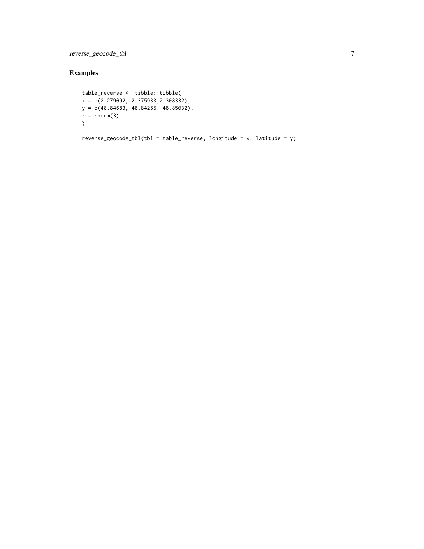reverse\_geocode\_tbl 7

#### Examples

```
table_reverse <- tibble::tibble(
x = c(2.279092, 2.375933,2.308332),
y = c(48.84683, 48.84255, 48.85032),
z = \text{norm}(3)\lambda
```
 $reverse\_geocode_tbl(tbl = table_reverse, longitude = x, latitude = y)$